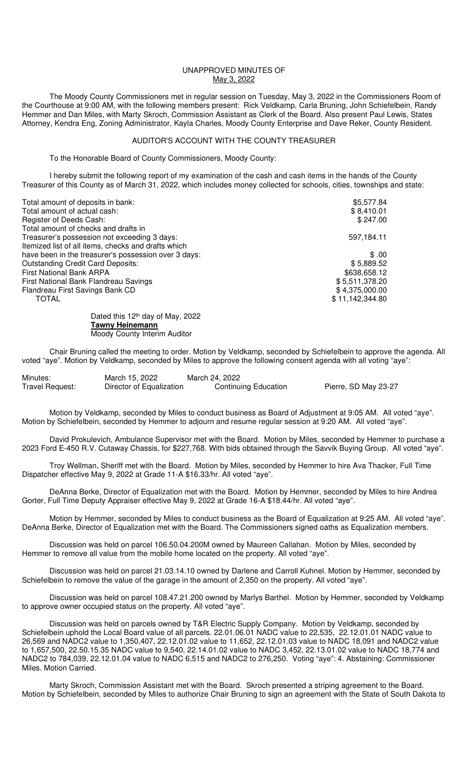## UNAPPROVED MINUTES OF May 3, 2022

 The Moody County Commissioners met in regular session on Tuesday, May 3, 2022 in the Commissioners Room of the Courthouse at 9:00 AM, with the following members present: Rick Veldkamp, Carla Bruning, John Schiefelbein, Randy Hemmer and Dan Miles, with Marty Skroch, Commission Assistant as Clerk of the Board. Also present Paul Lewis, States Attorney, Kendra Eng, Zoning Administrator, Kayla Charles, Moody County Enterprise and Dave Reker, County Resident.

## AUDITOR'S ACCOUNT WITH THE COUNTY TREASURER

To the Honorable Board of County Commissioners, Moody County:

 I hereby submit the following report of my examination of the cash and cash items in the hands of the County Treasurer of this County as of March 31, 2022, which includes money collected for schools, cities, townships and state:

| Total amount of deposits in bank:                    | \$5,577.84      |
|------------------------------------------------------|-----------------|
| Total amount of actual cash:                         | \$8,410.01      |
| Register of Deeds Cash:                              | \$247.00        |
| Total amount of checks and drafts in                 |                 |
| Treasurer's possession not exceeding 3 days:         | 597,184.11      |
| Itemized list of all items, checks and drafts which  |                 |
| have been in the treasurer's possession over 3 days: | \$.00           |
| <b>Outstanding Credit Card Deposits:</b>             | \$5,889.52      |
| <b>First National Bank ARPA</b>                      | \$638,658.12    |
| First National Bank Flandreau Savings                | \$5,511,378.20  |
| Flandreau First Savings Bank CD                      | \$4,375,000.00  |
| <b>TOTAL</b>                                         | \$11,142,344.80 |
| Dotad this 10th dought Mould 2000                    |                 |

Dated this 12<sup>th</sup> day of May, 2022 **Tawny Heinemann**  Moody County Interim Auditor

Chair Bruning called the meeting to order. Motion by Veldkamp, seconded by Schiefelbein to approve the agenda. All voted "aye". Motion by Veldkamp, seconded by Miles to approve the following consent agenda with all voting "aye":

| Minutes:        | March 15, 2022           | March 24, 2022              |                      |
|-----------------|--------------------------|-----------------------------|----------------------|
| Travel Request: | Director of Equalization | <b>Continuing Education</b> | Pierre, SD May 23-27 |

Motion by Veldkamp, seconded by Miles to conduct business as Board of Adjustment at 9:05 AM. All voted "aye". Motion by Schiefelbein, seconded by Hemmer to adjourn and resume regular session at 9:20 AM. All voted "aye".

David Prokulevich, Ambulance Supervisor met with the Board. Motion by Miles, seconded by Hemmer to purchase a 2023 Ford E-450 R.V. Cutaway Chassis, for \$227,768. With bids obtained through the Savvik Buying Group. All voted "aye".

 Troy Wellman, Sheriff met with the Board. Motion by Miles, seconded by Hemmer to hire Ava Thacker, Full Time Dispatcher effective May 9, 2022 at Grade 11-A \$16.33/hr. All voted "aye".

 DeAnna Berke, Director of Equalization met with the Board. Motion by Hemmer, seconded by Miles to hire Andrea Gorter, Full Time Deputy Appraiser effective May 9, 2022 at Grade 16-A \$18.44/hr. All voted "aye".

 Motion by Hemmer, seconded by Miles to conduct business as the Board of Equalization at 9:25 AM. All voted "aye". DeAnna Berke, Director of Equalization met with the Board. The Commissioners signed oaths as Equalization members.

 Discussion was held on parcel 106.50.04.200M owned by Maureen Callahan. Motion by Miles, seconded by Hemmer to remove all value from the mobile home located on the property. All voted "aye".

 Discussion was held on parcel 21.03.14.10 owned by Darlene and Carroll Kuhnel. Motion by Hemmer, seconded by Schiefelbein to remove the value of the garage in the amount of 2,350 on the property. All voted "aye".

 Discussion was held on parcel 108.47.21.200 owned by Marlys Barthel. Motion by Hemmer, seconded by Veldkamp to approve owner occupied status on the property. All voted "aye".

 Discussion was held on parcels owned by T&R Electric Supply Company. Motion by Veldkamp, seconded by Schiefelbein uphold the Local Board value of all parcels. 22.01.06.01 NADC value to 22,535, 22.12.01.01 NADC value to 26,569 and NADC2 value to 1,350,407, 22.12.01.02 value to 11,652, 22.12.01.03 value to NADC 18,091 and NADC2 value to 1,657,500, 22.50.15.35 NADC value to 9,540, 22.14.01.02 value to NADC 3,452, 22.13.01.02 value to NADC 18,774 and NADC2 to 784,039, 22.12.01.04 value to NADC 6,515 and NADC2 to 276,250. Voting "aye": 4. Abstaining: Commissioner Miles. Motion Carried.

 Marty Skroch, Commission Assistant met with the Board. Skroch presented a striping agreement to the Board. Motion by Schiefelbein, seconded by Miles to authorize Chair Bruning to sign an agreement with the State of South Dakota to